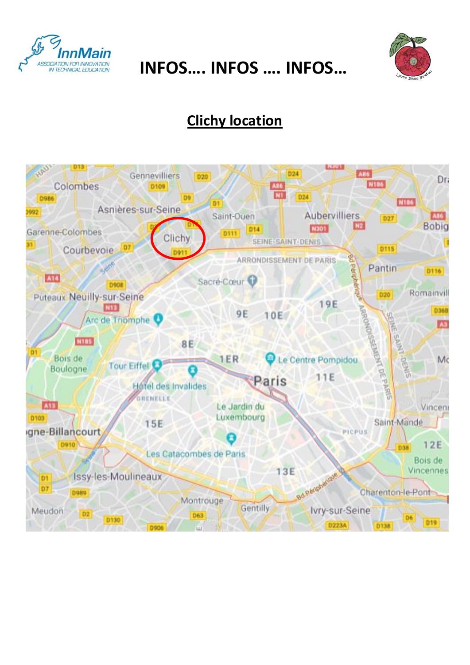

**INFOS.... INFOS .... INFOS...** 



### **Clichy location**

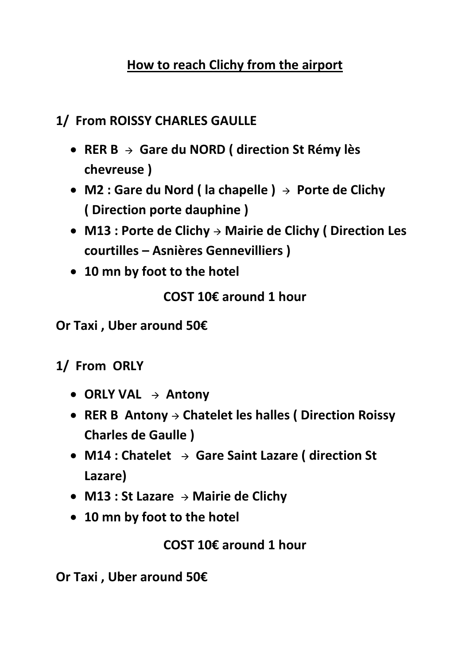#### **How to reach Clichy from the airport**

#### **1/ From ROISSY CHARLES GAULLE**

- **RER B Gare du NORD ( direction St Rémy lès chevreuse )**
- **M2 : Gare du Nord ( la chapelle ) Porte de Clichy ( Direction porte dauphine )**
- **M13 : Porte de Clichy Mairie de Clichy ( Direction Les courtilles – Asnières Gennevilliers )**
- **10 mn by foot to the hotel**

**COST 10€ around 1 hour**

**Or Taxi , Uber around 50€**

#### **1/ From ORLY**

- **ORLY VAL Antony**
- RER B Antony → Chatelet les halles ( Direction Roissy **Charles de Gaulle )**
- **M14 : Chatelet Gare Saint Lazare ( direction St Lazare)**
- **M13 : St Lazare Mairie de Clichy**
- **10 mn by foot to the hotel**

**COST 10€ around 1 hour**

**Or Taxi , Uber around 50€**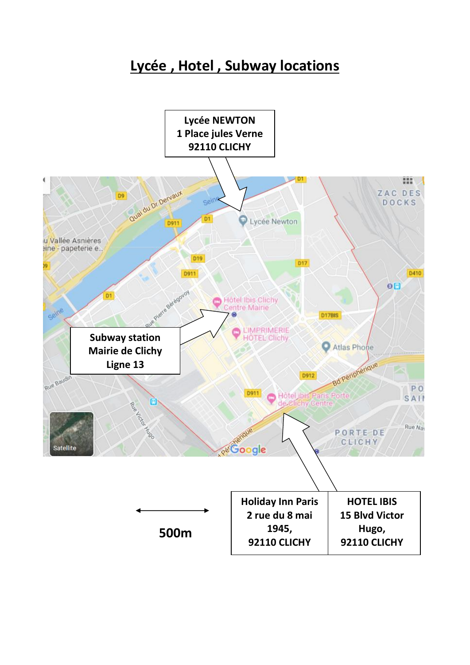#### **Lycée , Hotel , Subway locations**

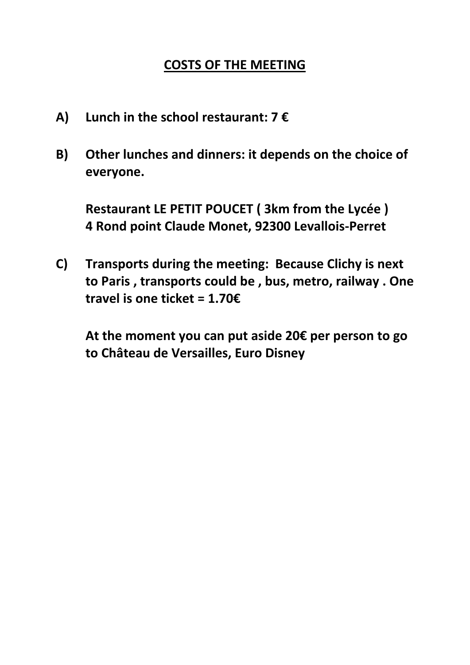#### **COSTS OF THE MEETING**

- **A) Lunch in the school restaurant: 7 €**
- **B) Other lunches and dinners: it depends on the choice of everyone.**

**Restaurant LE PETIT POUCET ( 3km from the Lycée ) 4 Rond point Claude Monet, 92300 Levallois-Perret**

**C) Transports during the meeting: Because Clichy is next to Paris , transports could be , bus, metro, railway . One travel is one ticket = 1.70€**

**At the moment you can put aside 20€ per person to go to Château de Versailles, Euro Disney**